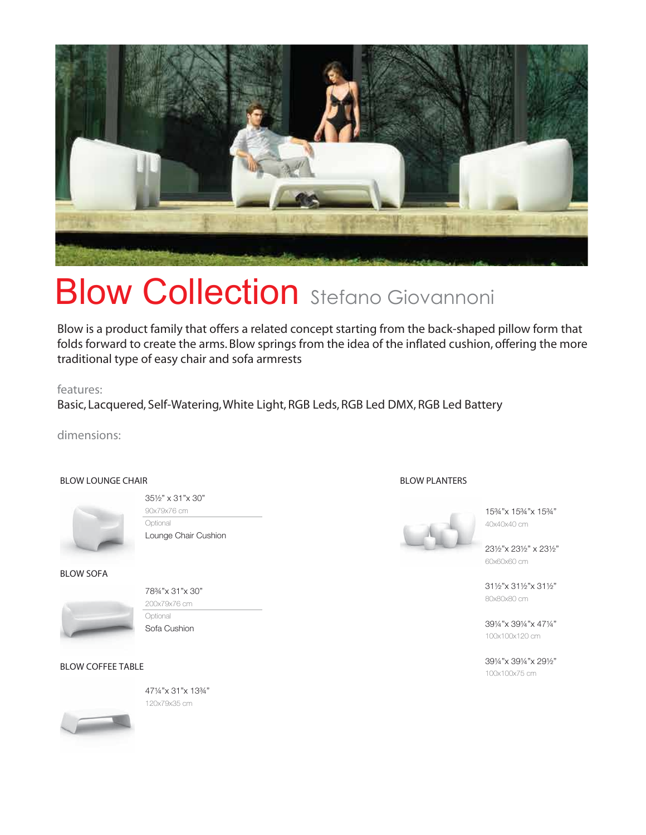

# **Blow Collection** Stefano Giovannoni

Blow is a product family that offers a related concept starting from the back-shaped pillow form that folds forward to create the arms. Blow springs from the idea of the inflated cushion, offering the more traditional type of easy chair and sofa armrests

features:

Basic, Lacquered, Self-Watering, White Light, RGB Leds, RGB Led DMX, RGB Led Battery

dimensions:

## BLOW LOUNGE CHAIR



35½" x 31"x 30" 90x79x76 cm Optional Lounge Chair Cushion

## BLOW SOFA



78¾"x 31"x 30" 200x79x76 cm **Optional** 

Sofa Cushion

BLOW COFFEE TABLE





BLOW PLANTERS

15¾"x 15¾"x 15¾" 40x40x40 cm

23½"x 23½" x 23½" 60x60x60 cm

31½"x 31½"x 31½" 80x80x80 cm

39¼"x 39¼"x 47¼" 100x100x120 cm

39¼"x 39¼"x 29½" 100x100x75 cm